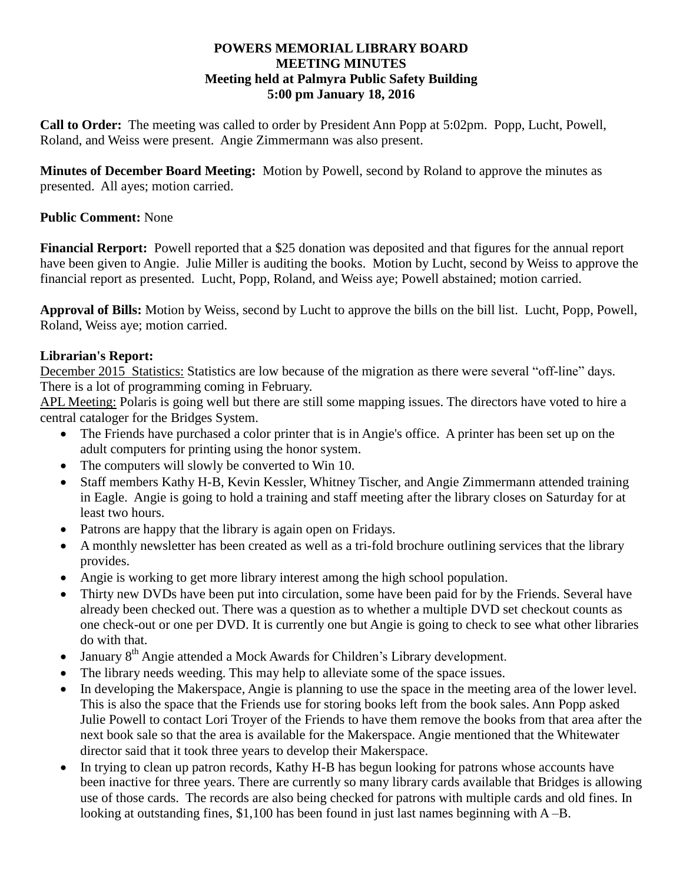### **POWERS MEMORIAL LIBRARY BOARD MEETING MINUTES Meeting held at Palmyra Public Safety Building 5:00 pm January 18, 2016**

**Call to Order:** The meeting was called to order by President Ann Popp at 5:02pm. Popp, Lucht, Powell, Roland, and Weiss were present. Angie Zimmermann was also present.

**Minutes of December Board Meeting:** Motion by Powell, second by Roland to approve the minutes as presented. All ayes; motion carried.

# **Public Comment:** None

**Financial Rerport:** Powell reported that a \$25 donation was deposited and that figures for the annual report have been given to Angie. Julie Miller is auditing the books. Motion by Lucht, second by Weiss to approve the financial report as presented. Lucht, Popp, Roland, and Weiss aye; Powell abstained; motion carried.

**Approval of Bills:** Motion by Weiss, second by Lucht to approve the bills on the bill list. Lucht, Popp, Powell, Roland, Weiss aye; motion carried.

# **Librarian's Report:**

December 2015 Statistics: Statistics are low because of the migration as there were several "off-line" days. There is a lot of programming coming in February.

APL Meeting: Polaris is going well but there are still some mapping issues. The directors have voted to hire a central cataloger for the Bridges System.

- The Friends have purchased a color printer that is in Angie's office. A printer has been set up on the adult computers for printing using the honor system.
- The computers will slowly be converted to Win 10.
- Staff members Kathy H-B, Kevin Kessler, Whitney Tischer, and Angie Zimmermann attended training in Eagle. Angie is going to hold a training and staff meeting after the library closes on Saturday for at least two hours.
- Patrons are happy that the library is again open on Fridays.
- A monthly newsletter has been created as well as a tri-fold brochure outlining services that the library provides.
- Angie is working to get more library interest among the high school population.
- Thirty new DVDs have been put into circulation, some have been paid for by the Friends. Several have already been checked out. There was a question as to whether a multiple DVD set checkout counts as one check-out or one per DVD. It is currently one but Angie is going to check to see what other libraries do with that.
- January 8<sup>th</sup> Angie attended a Mock Awards for Children's Library development.
- The library needs weeding. This may help to alleviate some of the space issues.
- In developing the Makerspace, Angie is planning to use the space in the meeting area of the lower level. This is also the space that the Friends use for storing books left from the book sales. Ann Popp asked Julie Powell to contact Lori Troyer of the Friends to have them remove the books from that area after the next book sale so that the area is available for the Makerspace. Angie mentioned that the Whitewater director said that it took three years to develop their Makerspace.
- In trying to clean up patron records, Kathy H-B has begun looking for patrons whose accounts have been inactive for three years. There are currently so many library cards available that Bridges is allowing use of those cards. The records are also being checked for patrons with multiple cards and old fines. In looking at outstanding fines, \$1,100 has been found in just last names beginning with A –B.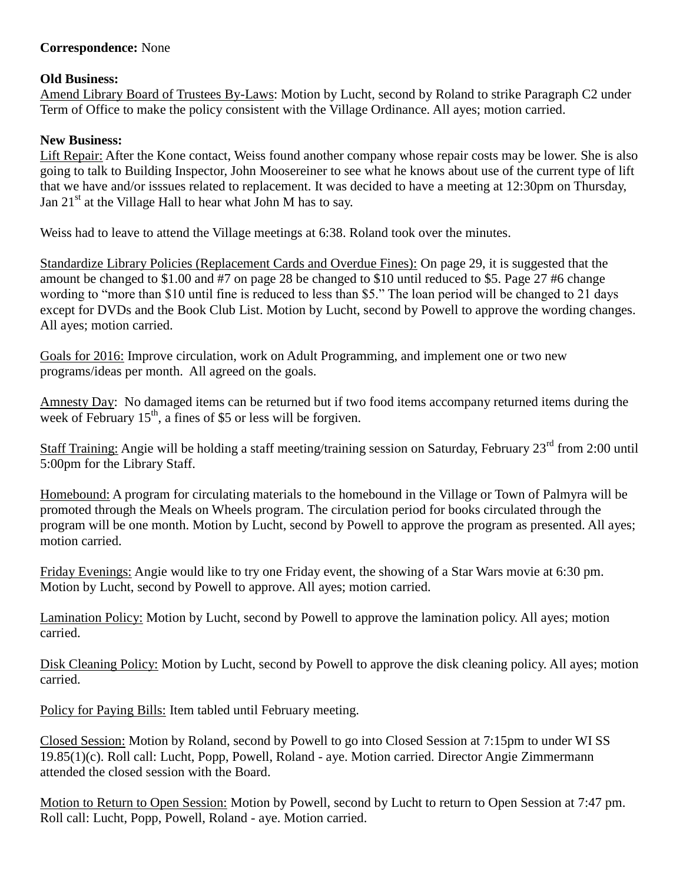# **Correspondence:** None

### **Old Business:**

Amend Library Board of Trustees By-Laws: Motion by Lucht, second by Roland to strike Paragraph C2 under Term of Office to make the policy consistent with the Village Ordinance. All ayes; motion carried.

### **New Business:**

Lift Repair: After the Kone contact, Weiss found another company whose repair costs may be lower. She is also going to talk to Building Inspector, John Moosereiner to see what he knows about use of the current type of lift that we have and/or isssues related to replacement. It was decided to have a meeting at 12:30pm on Thursday, Jan  $21<sup>st</sup>$  at the Village Hall to hear what John M has to say.

Weiss had to leave to attend the Village meetings at 6:38. Roland took over the minutes.

Standardize Library Policies (Replacement Cards and Overdue Fines): On page 29, it is suggested that the amount be changed to \$1.00 and #7 on page 28 be changed to \$10 until reduced to \$5. Page 27 #6 change wording to "more than \$10 until fine is reduced to less than \$5." The loan period will be changed to 21 days except for DVDs and the Book Club List. Motion by Lucht, second by Powell to approve the wording changes. All ayes; motion carried.

Goals for 2016: Improve circulation, work on Adult Programming, and implement one or two new programs/ideas per month. All agreed on the goals.

Amnesty Day: No damaged items can be returned but if two food items accompany returned items during the week of February  $15<sup>th</sup>$ , a fines of \$5 or less will be forgiven.

Staff Training: Angie will be holding a staff meeting/training session on Saturday, February 23<sup>rd</sup> from 2:00 until 5:00pm for the Library Staff.

Homebound: A program for circulating materials to the homebound in the Village or Town of Palmyra will be promoted through the Meals on Wheels program. The circulation period for books circulated through the program will be one month. Motion by Lucht, second by Powell to approve the program as presented. All ayes; motion carried.

Friday Evenings: Angie would like to try one Friday event, the showing of a Star Wars movie at 6:30 pm. Motion by Lucht, second by Powell to approve. All ayes; motion carried.

Lamination Policy: Motion by Lucht, second by Powell to approve the lamination policy. All ayes; motion carried.

Disk Cleaning Policy: Motion by Lucht, second by Powell to approve the disk cleaning policy. All ayes; motion carried.

Policy for Paying Bills: Item tabled until February meeting.

Closed Session: Motion by Roland, second by Powell to go into Closed Session at 7:15pm to under WI SS 19.85(1)(c). Roll call: Lucht, Popp, Powell, Roland - aye. Motion carried. Director Angie Zimmermann attended the closed session with the Board.

Motion to Return to Open Session: Motion by Powell, second by Lucht to return to Open Session at 7:47 pm. Roll call: Lucht, Popp, Powell, Roland - aye. Motion carried.